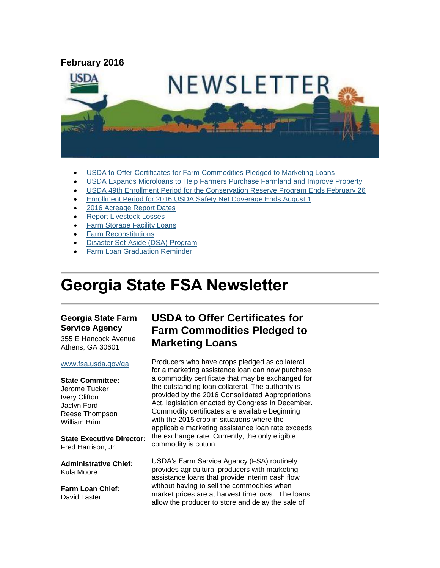

- [USDA to Offer Certificates for Farm Commodities Pledged to Marketing Loans](#page-0-0)
- [USDA Expands Microloans to Help Farmers Purchase Farmland and Improve Property](#page-1-0)
- [USDA 49th Enrollment Period for the Conservation Reserve Program Ends February 26](#page-2-0)
- [Enrollment Period for 2016 USDA Safety Net Coverage Ends August 1](#page-3-0)
- [2016 Acreage Report Dates](#page-3-1)
- [Report Livestock Losses](#page-4-0)
- [Farm Storage Facility Loans](#page-4-1)
- [Farm Reconstitutions](#page-5-0)
- [Disaster Set-Aside](#page-5-1) (DSA) Program
- [Farm Loan Graduation Reminder](#page-6-0)

# **Georgia State FSA Newsletter**

### **Georgia State Farm Service Agency**

355 E Hancock Avenue Athens, GA 30601

#### [www.fsa.usda.gov/ga](http://www.fsa.usda.gov/ga)

#### **State Committee:**

Jerome Tucker Ivery Clifton Jaclyn Ford Reese Thompson William Brim

**State Executive Director:** Fred Harrison, Jr.

**Administrative Chief:** Kula Moore

**Farm Loan Chief:** David Laster

# <span id="page-0-0"></span>**USDA to Offer Certificates for Farm Commodities Pledged to Marketing Loans**

Producers who have crops pledged as collateral for a marketing assistance loan can now purchase a commodity certificate that may be exchanged for the outstanding loan collateral. The authority is provided by the 2016 Consolidated Appropriations Act, legislation enacted by Congress in December. Commodity certificates are available beginning with the 2015 crop in situations where the applicable marketing assistance loan rate exceeds the exchange rate. Currently, the only eligible commodity is cotton.

USDA's Farm Service Agency (FSA) routinely provides agricultural producers with marketing assistance loans that provide interim cash flow without having to sell the commodities when market prices are at harvest time lows. The loans allow the producer to store and delay the sale of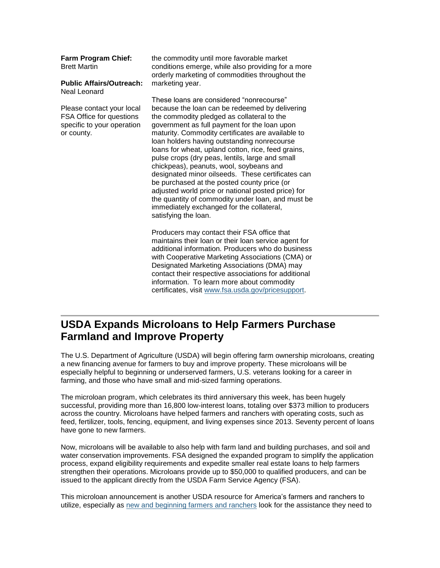### **Farm Program Chief:** Brett Martin

**Public Affairs/Outreach:** Neal Leonard

Please contact your local FSA Office for questions specific to your operation or county.

the commodity until more favorable market conditions emerge, while also providing for a more orderly marketing of commodities throughout the marketing year.

These loans are considered "nonrecourse" because the loan can be redeemed by delivering the commodity pledged as collateral to the government as full payment for the loan upon maturity. Commodity certificates are available to loan holders having outstanding nonrecourse loans for wheat, upland cotton, rice, feed grains, pulse crops (dry peas, lentils, large and small chickpeas), peanuts, wool, soybeans and designated minor oilseeds. These certificates can be purchased at the posted county price (or adjusted world price or national posted price) for the quantity of commodity under loan, and must be immediately exchanged for the collateral, satisfying the loan.

Producers may contact their FSA office that maintains their loan or their loan service agent for additional information. Producers who do business with Cooperative Marketing Associations (CMA) or Designated Marketing Associations (DMA) may contact their respective associations for additional information. To learn more about commodity certificates, visit [www.fsa.usda.gov/pricesupport.](http://www.fsa.usda.gov/pricesupport)

# <span id="page-1-0"></span>**USDA Expands Microloans to Help Farmers Purchase Farmland and Improve Property**

The U.S. Department of Agriculture (USDA) will begin offering farm ownership microloans, creating a new financing avenue for farmers to buy and improve property. These microloans will be especially helpful to beginning or underserved farmers, U.S. veterans looking for a career in farming, and those who have small and mid-sized farming operations.

The microloan program, which celebrates its third anniversary this week, has been hugely successful, providing more than 16,800 low-interest loans, totaling over \$373 million to producers across the country. Microloans have helped farmers and ranchers with operating costs, such as feed, fertilizer, tools, fencing, equipment, and living expenses since 2013. Seventy percent of loans have gone to new farmers.

Now, microloans will be available to also help with farm land and building purchases, and soil and water conservation improvements. FSA designed the expanded program to simplify the application process, expand eligibility requirements and expedite smaller real estate loans to help farmers strengthen their operations. Microloans provide up to \$50,000 to qualified producers, and can be issued to the applicant directly from the USDA Farm Service Agency (FSA).

This microloan announcement is another USDA resource for America's farmers and ranchers to utilize, especially as [new and beginning farmers and ranchers](http://www.usda.gov/newfarmers) look for the assistance they need to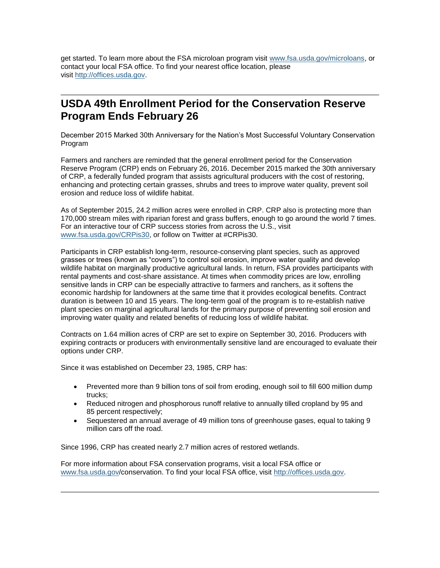get started. To learn more about the FSA microloan program visit [www.fsa.usda.gov/microloans,](http://www.fsa.usda.gov/microloans) or contact your local FSA office. To find your nearest office location, please visit [http://offices.usda.gov.](http://links.govdelivery.com/track?type=click&enid=ZWFzPTEmbWFpbGluZ2lkPTIwMTUwMjEwLjQxNDAyNjYxJm1lc3NhZ2VpZD1NREItUFJELUJVTC0yMDE1MDIxMC40MTQwMjY2MSZkYXRhYmFzZWlkPTEwMDEmc2VyaWFsPTE3MjQxMDk2JmVtYWlsaWQ9ZGFyaW4ubGVhY2hAaWEudXNkYS5nb3YmdXNlcmlkPWRhcmluLmxlYWNoQGlhLnVzZGEuZ292JmZsPSZleHRyYT1NdWx0aXZhcmlhdGVJZD0mJiY=&&&113&&&http://offices.usda.gov/)

# <span id="page-2-0"></span>**USDA 49th Enrollment Period for the Conservation Reserve Program Ends February 26**

December 2015 Marked 30th Anniversary for the Nation's Most Successful Voluntary Conservation Program

Farmers and ranchers are reminded that the general enrollment period for the Conservation Reserve Program (CRP) ends on February 26, 2016. December 2015 marked the 30th anniversary of CRP, a federally funded program that assists agricultural producers with the cost of restoring, enhancing and protecting certain grasses, shrubs and trees to improve water quality, prevent soil erosion and reduce loss of wildlife habitat.

As of September 2015, 24.2 million acres were enrolled in CRP. CRP also is protecting more than 170,000 stream miles with riparian forest and grass buffers, enough to go around the world 7 times. For an interactive tour of CRP success stories from across the U.S., visit [www.fsa.usda.gov/CRPis30,](http://www.fsa.usda.gov/CRPis30) or follow on Twitter at #CRPis30.

Participants in CRP establish long-term, resource-conserving plant species, such as approved grasses or trees (known as "covers") to control soil erosion, improve water quality and develop wildlife habitat on marginally productive agricultural lands. In return, FSA provides participants with rental payments and cost-share assistance. At times when commodity prices are low, enrolling sensitive lands in CRP can be especially attractive to farmers and ranchers, as it softens the economic hardship for landowners at the same time that it provides ecological benefits. Contract duration is between 10 and 15 years. The long-term goal of the program is to re-establish native plant species on marginal agricultural lands for the primary purpose of preventing soil erosion and improving water quality and related benefits of reducing loss of wildlife habitat.

Contracts on 1.64 million acres of CRP are set to expire on September 30, 2016. Producers with expiring contracts or producers with environmentally sensitive land are encouraged to evaluate their options under CRP.

Since it was established on December 23, 1985, CRP has:

- Prevented more than 9 billion tons of soil from eroding, enough soil to fill 600 million dump trucks;
- Reduced nitrogen and phosphorous runoff relative to annually tilled cropland by 95 and 85 percent respectively;
- Sequestered an annual average of 49 million tons of greenhouse gases, equal to taking 9 million cars off the road.

Since 1996, CRP has created nearly 2.7 million acres of restored wetlands.

For more information about FSA conservation programs, visit a local FSA office or [www.fsa.usda.gov/](http://www.fsa.usda.gov/)conservation. To find your local FSA office, visit [http://offices.usda.gov.](http://offices.usda.gov/)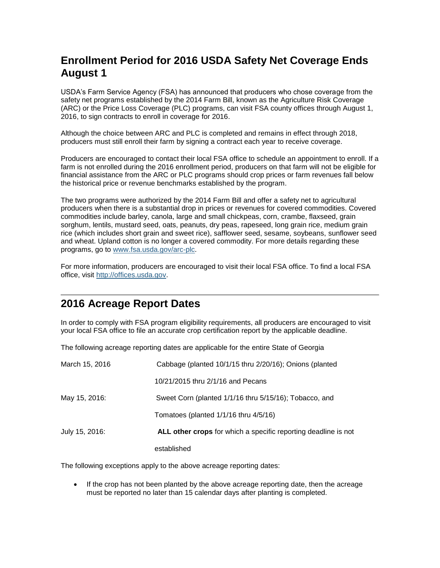# <span id="page-3-0"></span>**Enrollment Period for 2016 USDA Safety Net Coverage Ends August 1**

USDA's Farm Service Agency (FSA) has announced that producers who chose coverage from the safety net programs established by the 2014 Farm Bill, known as the Agriculture Risk Coverage (ARC) or the Price Loss Coverage (PLC) programs, can visit FSA county offices through August 1, 2016, to sign contracts to enroll in coverage for 2016.

Although the choice between ARC and PLC is completed and remains in effect through 2018, producers must still enroll their farm by signing a contract each year to receive coverage.

Producers are encouraged to contact their local FSA office to schedule an appointment to enroll. If a farm is not enrolled during the 2016 enrollment period, producers on that farm will not be eligible for financial assistance from the ARC or PLC programs should crop prices or farm revenues fall below the historical price or revenue benchmarks established by the program.

The two programs were authorized by the 2014 Farm Bill and offer a safety net to agricultural producers when there is a substantial drop in prices or revenues for covered commodities. Covered commodities include barley, canola, large and small chickpeas, corn, crambe, flaxseed, grain sorghum, lentils, mustard seed, oats, peanuts, dry peas, rapeseed, long grain rice, medium grain rice (which includes short grain and sweet rice), safflower seed, sesame, soybeans, sunflower seed and wheat. Upland cotton is no longer a covered commodity. For more details regarding these programs, go to [www.fsa.usda.gov/arc-plc.](http://www.fsa.usda.gov/arc-plc)

For more information, producers are encouraged to visit their local FSA office. To find a local FSA office, visit [http://offices.usda.gov.](http://offices.usda.gov/)

## <span id="page-3-1"></span>**2016 Acreage Report Dates**

In order to comply with FSA program eligibility requirements, all producers are encouraged to visit your local FSA office to file an accurate crop certification report by the applicable deadline.

The following acreage reporting dates are applicable for the entire State of Georgia

| March 15, 2016 | Cabbage (planted 10/1/15 thru 2/20/16); Onions (planted        |
|----------------|----------------------------------------------------------------|
|                | 10/21/2015 thru 2/1/16 and Pecans                              |
| May 15, 2016:  | Sweet Corn (planted 1/1/16 thru 5/15/16); Tobacco, and         |
|                | Tomatoes (planted $1/1/16$ thru $4/5/16$ )                     |
| July 15, 2016: | ALL other crops for which a specific reporting deadline is not |
|                | established                                                    |

The following exceptions apply to the above acreage reporting dates:

 If the crop has not been planted by the above acreage reporting date, then the acreage must be reported no later than 15 calendar days after planting is completed.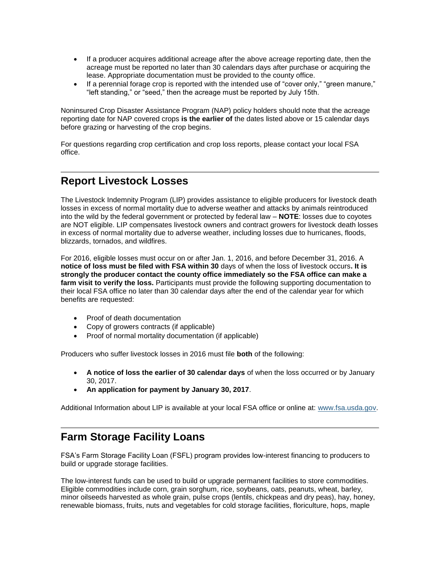- If a producer acquires additional acreage after the above acreage reporting date, then the acreage must be reported no later than 30 calendars days after purchase or acquiring the lease. Appropriate documentation must be provided to the county office.
- If a perennial forage crop is reported with the intended use of "cover only," "green manure," "left standing," or "seed," then the acreage must be reported by July 15th.

Noninsured Crop Disaster Assistance Program (NAP) policy holders should note that the acreage reporting date for NAP covered crops **is the earlier of** the dates listed above or 15 calendar days before grazing or harvesting of the crop begins.

For questions regarding crop certification and crop loss reports, please contact your local FSA office.

## <span id="page-4-0"></span>**Report Livestock Losses**

The Livestock Indemnity Program (LIP) provides assistance to eligible producers for livestock death losses in excess of normal mortality due to adverse weather and attacks by animals reintroduced into the wild by the federal government or protected by federal law – **NOTE**: losses due to coyotes are NOT eligible. LIP compensates livestock owners and contract growers for livestock death losses in excess of normal mortality due to adverse weather, including losses due to hurricanes, floods, blizzards, tornados, and wildfires.

For 2016, eligible losses must occur on or after Jan. 1, 2016, and before December 31, 2016. A **notice of loss must be filed with FSA within 30** days of when the loss of livestock occurs**. It is strongly the producer contact the county office immediately so the FSA office can make a farm visit to verify the loss.** Participants must provide the following supporting documentation to their local FSA office no later than 30 calendar days after the end of the calendar year for which benefits are requested:

- Proof of death documentation
- Copy of growers contracts (if applicable)
- Proof of normal mortality documentation (if applicable)

Producers who suffer livestock losses in 2016 must file **both** of the following:

- **A notice of loss the earlier of 30 calendar days** of when the loss occurred or by January 30, 2017.
- **An application for payment by January 30, 2017**.

Additional Information about LIP is available at your local FSA office or online at: [www.fsa.usda.gov.](file:///C:/Documents%20and%20Settings/murray.watts/Local%20Settings/Temporary%20Internet%20Files/Content.Outlook/WRAEZEPN/www.fsa.usda.gov)

# <span id="page-4-1"></span>**Farm Storage Facility Loans**

FSA's Farm Storage Facility Loan (FSFL) program provides low-interest financing to producers to build or upgrade storage facilities.

The low-interest funds can be used to build or upgrade permanent facilities to store commodities. Eligible commodities include corn, grain sorghum, rice, soybeans, oats, peanuts, wheat, barley, minor oilseeds harvested as whole grain, pulse crops (lentils, chickpeas and dry peas), hay, honey, renewable biomass, fruits, nuts and vegetables for cold storage facilities, floriculture, hops, maple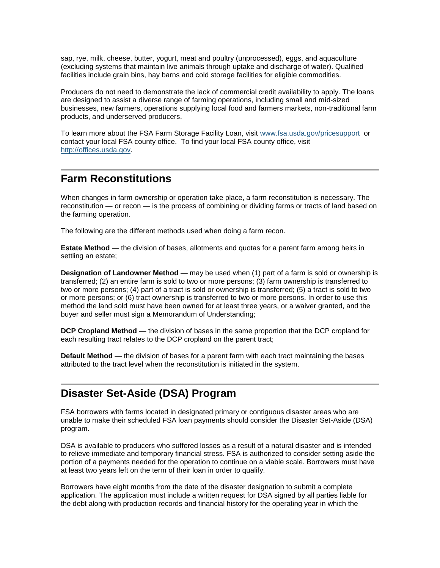sap, rye, milk, cheese, butter, yogurt, meat and poultry (unprocessed), eggs, and aquaculture (excluding systems that maintain live animals through uptake and discharge of water). Qualified facilities include grain bins, hay barns and cold storage facilities for eligible commodities.

Producers do not need to demonstrate the lack of commercial credit availability to apply. The loans are designed to assist a diverse range of farming operations, including small and mid-sized businesses, new farmers, operations supplying local food and farmers markets, non-traditional farm products, and underserved producers.

To learn more about the FSA Farm Storage Facility Loan, visit [www.fsa.usda.gov/pricesupport](http://www.fsa.usda.gov/pricesupport) or contact your local FSA county office. To find your local FSA county office, visit [http://offices.usda.gov.](http://offices.usda.gov/)

# <span id="page-5-0"></span>**Farm Reconstitutions**

When changes in farm ownership or operation take place, a farm reconstitution is necessary. The reconstitution — or recon — is the process of combining or dividing farms or tracts of land based on the farming operation.

The following are the different methods used when doing a farm recon.

**Estate Method** — the division of bases, allotments and quotas for a parent farm among heirs in settling an estate;

**Designation of Landowner Method** — may be used when (1) part of a farm is sold or ownership is transferred; (2) an entire farm is sold to two or more persons; (3) farm ownership is transferred to two or more persons; (4) part of a tract is sold or ownership is transferred; (5) a tract is sold to two or more persons; or (6) tract ownership is transferred to two or more persons. In order to use this method the land sold must have been owned for at least three years, or a waiver granted, and the buyer and seller must sign a Memorandum of Understanding;

**DCP Cropland Method** — the division of bases in the same proportion that the DCP cropland for each resulting tract relates to the DCP cropland on the parent tract;

**Default Method** — the division of bases for a parent farm with each tract maintaining the bases attributed to the tract level when the reconstitution is initiated in the system.

# <span id="page-5-1"></span>**Disaster Set-Aside (DSA) Program**

FSA borrowers with farms located in designated primary or contiguous disaster areas who are unable to make their scheduled FSA loan payments should consider the Disaster Set-Aside (DSA) program.

DSA is available to producers who suffered losses as a result of a natural disaster and is intended to relieve immediate and temporary financial stress. FSA is authorized to consider setting aside the portion of a payments needed for the operation to continue on a viable scale. Borrowers must have at least two years left on the term of their loan in order to qualify.

Borrowers have eight months from the date of the disaster designation to submit a complete application. The application must include a written request for DSA signed by all parties liable for the debt along with production records and financial history for the operating year in which the